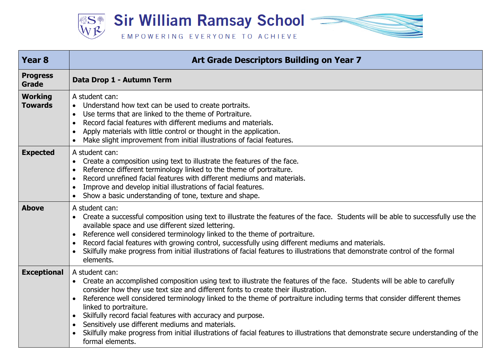

| <b>Year 8</b>                    | Art Grade Descriptors Building on Year 7                                                                                                                                                                                                                                                                                                                                                                                                                                                                                                                                                                                                                                                                  |
|----------------------------------|-----------------------------------------------------------------------------------------------------------------------------------------------------------------------------------------------------------------------------------------------------------------------------------------------------------------------------------------------------------------------------------------------------------------------------------------------------------------------------------------------------------------------------------------------------------------------------------------------------------------------------------------------------------------------------------------------------------|
| <b>Progress</b><br><b>Grade</b>  | Data Drop 1 - Autumn Term                                                                                                                                                                                                                                                                                                                                                                                                                                                                                                                                                                                                                                                                                 |
| <b>Working</b><br><b>Towards</b> | A student can:<br>Understand how text can be used to create portraits.<br>$\bullet$<br>Use terms that are linked to the theme of Portraiture.<br>Record facial features with different mediums and materials.<br>Apply materials with little control or thought in the application.<br>$\bullet$<br>Make slight improvement from initial illustrations of facial features.<br>$\bullet$                                                                                                                                                                                                                                                                                                                   |
| <b>Expected</b>                  | A student can:<br>Create a composition using text to illustrate the features of the face.<br>$\bullet$<br>Reference different terminology linked to the theme of portraiture.<br>Record unrefined facial features with different mediums and materials.<br>$\bullet$<br>Improve and develop initial illustrations of facial features.<br>$\bullet$<br>Show a basic understanding of tone, texture and shape.<br>$\bullet$                                                                                                                                                                                                                                                                                 |
| <b>Above</b>                     | A student can:<br>Create a successful composition using text to illustrate the features of the face. Students will be able to successfully use the<br>available space and use different sized lettering.<br>Reference well considered terminology linked to the theme of portraiture.<br>Record facial features with growing control, successfully using different mediums and materials.<br>$\bullet$<br>Skilfully make progress from initial illustrations of facial features to illustrations that demonstrate control of the formal<br>elements.                                                                                                                                                      |
| <b>Exceptional</b>               | A student can:<br>Create an accomplished composition using text to illustrate the features of the face. Students will be able to carefully<br>$\bullet$<br>consider how they use text size and different fonts to create their illustration.<br>Reference well considered terminology linked to the theme of portraiture including terms that consider different themes<br>$\bullet$<br>linked to portraiture.<br>Skilfully record facial features with accuracy and purpose.<br>$\bullet$<br>Sensitively use different mediums and materials.<br>Skilfully make progress from initial illustrations of facial features to illustrations that demonstrate secure understanding of the<br>formal elements. |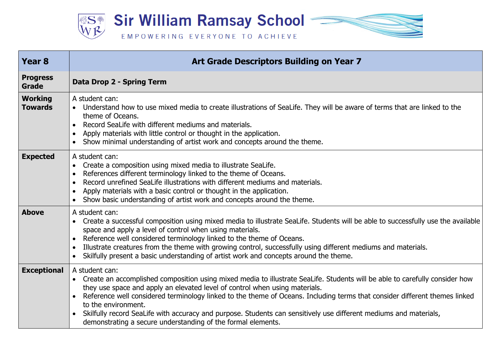**Sir William Ramsay School**  $\equiv$ **\$ST** 

## EMPOWERING EVERYONE TO ACHIEVE

| <b>Year 8</b>                    | Art Grade Descriptors Building on Year 7                                                                                                                                                                                                                                                                                                                                                                                                                                                                                                                               |
|----------------------------------|------------------------------------------------------------------------------------------------------------------------------------------------------------------------------------------------------------------------------------------------------------------------------------------------------------------------------------------------------------------------------------------------------------------------------------------------------------------------------------------------------------------------------------------------------------------------|
| <b>Progress</b><br><b>Grade</b>  | Data Drop 2 - Spring Term                                                                                                                                                                                                                                                                                                                                                                                                                                                                                                                                              |
| <b>Working</b><br><b>Towards</b> | A student can:<br>Understand how to use mixed media to create illustrations of SeaLife. They will be aware of terms that are linked to the<br>theme of Oceans.<br>Record SeaLife with different mediums and materials.<br>Apply materials with little control or thought in the application.<br>Show minimal understanding of artist work and concepts around the theme.                                                                                                                                                                                               |
| <b>Expected</b>                  | A student can:<br>Create a composition using mixed media to illustrate SeaLife.<br>References different terminology linked to the theme of Oceans.<br>Record unrefined SeaLife illustrations with different mediums and materials.<br>Apply materials with a basic control or thought in the application.<br>Show basic understanding of artist work and concepts around the theme.<br>$\bullet$                                                                                                                                                                       |
| <b>Above</b>                     | A student can:<br>Create a successful composition using mixed media to illustrate SeaLife. Students will be able to successfully use the available<br>space and apply a level of control when using materials.<br>Reference well considered terminology linked to the theme of Oceans.<br>Illustrate creatures from the theme with growing control, successfully using different mediums and materials.<br>Skilfully present a basic understanding of artist work and concepts around the theme.<br>$\bullet$                                                          |
| <b>Exceptional</b>               | A student can:<br>Create an accomplished composition using mixed media to illustrate SeaLife. Students will be able to carefully consider how<br>they use space and apply an elevated level of control when using materials.<br>Reference well considered terminology linked to the theme of Oceans. Including terms that consider different themes linked<br>to the environment.<br>Skilfully record SeaLife with accuracy and purpose. Students can sensitively use different mediums and materials,<br>demonstrating a secure understanding of the formal elements. |